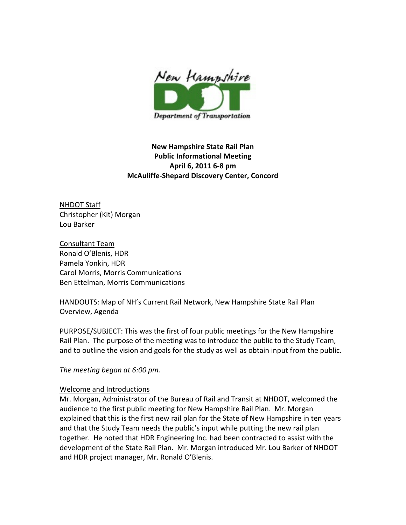

New Hampshire State Rail Plan Public Informational Meeting April 6, 2011 6-8 pm McAuliffe-Shepard Discovery Center, Concord

NHDOT Staff Christopher (Kit) Morgan Lou Barker

Consultant Team Ronald O'Blenis, HDR Pamela Yonkin, HDR Carol Morris, Morris Communications Ben Ettelman, Morris Communications

HANDOUTS: Map of NH's Current Rail Network, New Hampshire State Rail Plan Overview, Agenda

PURPOSE/SUBJECT: This was the first of four public meetings for the New Hampshire Rail Plan. The purpose of the meeting was to introduce the public to the Study Team, and to outline the vision and goals for the study as well as obtain input from the public.

The meeting began at 6:00 pm.

#### Welcome and Introductions

Mr. Morgan, Administrator of the Bureau of Rail and Transit at NHDOT, welcomed the audience to the first public meeting for New Hampshire Rail Plan. Mr. Morgan explained that this is the first new rail plan for the State of New Hampshire in ten years and that the Study Team needs the public's input while putting the new rail plan together. He noted that HDR Engineering Inc. had been contracted to assist with the development of the State Rail Plan. Mr. Morgan introduced Mr. Lou Barker of NHDOT and HDR project manager, Mr. Ronald O'Blenis.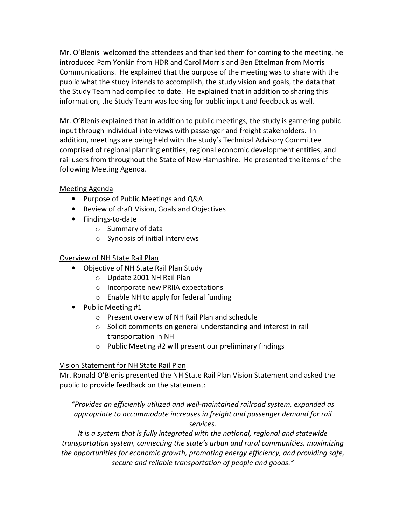Mr. O'Blenis welcomed the attendees and thanked them for coming to the meeting. he introduced Pam Yonkin from HDR and Carol Morris and Ben Ettelman from Morris Communications. He explained that the purpose of the meeting was to share with the public what the study intends to accomplish, the study vision and goals, the data that the Study Team had compiled to date. He explained that in addition to sharing this information, the Study Team was looking for public input and feedback as well.

Mr. O'Blenis explained that in addition to public meetings, the study is garnering public input through individual interviews with passenger and freight stakeholders. In addition, meetings are being held with the study's Technical Advisory Committee comprised of regional planning entities, regional economic development entities, and rail users from throughout the State of New Hampshire. He presented the items of the following Meeting Agenda.

# Meeting Agenda

- Purpose of Public Meetings and Q&A
- Review of draft Vision, Goals and Objectives
- Findings-to-date
	- o Summary of data
	- o Synopsis of initial interviews

#### Overview of NH State Rail Plan

- Objective of NH State Rail Plan Study
	- o Update 2001 NH Rail Plan
	- o Incorporate new PRIIA expectations
	- o Enable NH to apply for federal funding
- Public Meeting #1
	- o Present overview of NH Rail Plan and schedule
	- o Solicit comments on general understanding and interest in rail transportation in NH
	- o Public Meeting #2 will present our preliminary findings

# Vision Statement for NH State Rail Plan

Mr. Ronald O'Blenis presented the NH State Rail Plan Vision Statement and asked the public to provide feedback on the statement:

"Provides an efficiently utilized and well-maintained railroad system, expanded as appropriate to accommodate increases in freight and passenger demand for rail services.

It is a system that is fully integrated with the national, regional and statewide transportation system, connecting the state's urban and rural communities, maximizing the opportunities for economic growth, promoting energy efficiency, and providing safe, secure and reliable transportation of people and goods."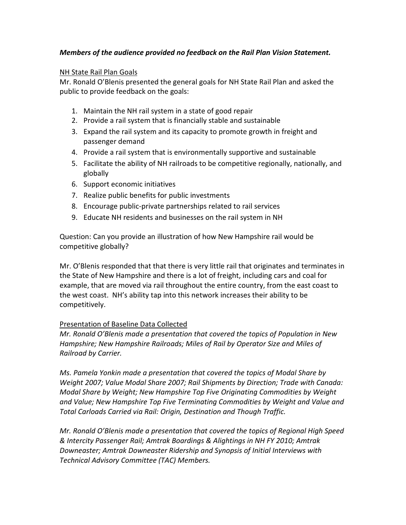# Members of the audience provided no feedback on the Rail Plan Vision Statement.

# NH State Rail Plan Goals

Mr. Ronald O'Blenis presented the general goals for NH State Rail Plan and asked the public to provide feedback on the goals:

- 1. Maintain the NH rail system in a state of good repair
- 2. Provide a rail system that is financially stable and sustainable
- 3. Expand the rail system and its capacity to promote growth in freight and passenger demand
- 4. Provide a rail system that is environmentally supportive and sustainable
- 5. Facilitate the ability of NH railroads to be competitive regionally, nationally, and globally
- 6. Support economic initiatives
- 7. Realize public benefits for public investments
- 8. Encourage public-private partnerships related to rail services
- 9. Educate NH residents and businesses on the rail system in NH

Question: Can you provide an illustration of how New Hampshire rail would be competitive globally?

Mr. O'Blenis responded that that there is very little rail that originates and terminates in the State of New Hampshire and there is a lot of freight, including cars and coal for example, that are moved via rail throughout the entire country, from the east coast to the west coast. NH's ability tap into this network increases their ability to be competitively.

# Presentation of Baseline Data Collected

Mr. Ronald O'Blenis made a presentation that covered the topics of Population in New Hampshire; New Hampshire Railroads; Miles of Rail by Operator Size and Miles of Railroad by Carrier.

Ms. Pamela Yonkin made a presentation that covered the topics of Modal Share by Weight 2007; Value Modal Share 2007; Rail Shipments by Direction; Trade with Canada: Modal Share by Weight; New Hampshire Top Five Originating Commodities by Weight and Value; New Hampshire Top Five Terminating Commodities by Weight and Value and Total Carloads Carried via Rail: Origin, Destination and Though Traffic.

Mr. Ronald O'Blenis made a presentation that covered the topics of Regional High Speed & Intercity Passenger Rail; Amtrak Boardings & Alightings in NH FY 2010; Amtrak Downeaster; Amtrak Downeaster Ridership and Synopsis of Initial Interviews with Technical Advisory Committee (TAC) Members.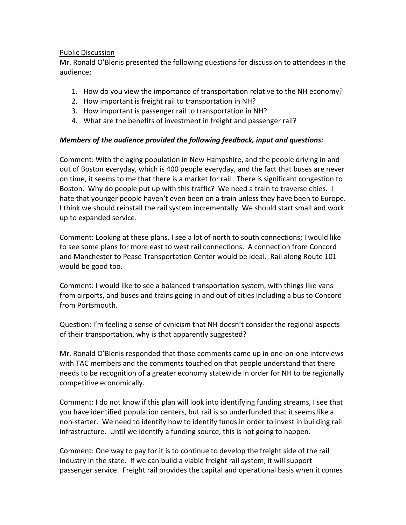#### Public Discussion

Mr. Ronald O'Blenis presented the following questions for discussion to attendees in the audience:

- 1. How do you view the importance of transportation relative to the NH economy?
- 2. How important is freight rail to transportation in NH?
- 3. How important is passenger rail to transportation in NH?
- 4. What are the benefits of investment in freight and passenger rail?

# Members of the audience provided the following feedback, input and questions:

Comment: With the aging population in New Hampshire, and the people driving in and out of Boston everyday, which is 400 people everyday, and the fact that buses are never on time, it seems to me that there is a market for rail. There is significant congestion to Boston. Why do people put up with this traffic? We need a train to traverse cities. I hate that younger people haven't even been on a train unless they have been to Europe. I think we should reinstall the rail system incrementally. We should start small and work up to expanded service.

Comment: Looking at these plans, I see a lot of north to south connections; I would like to see some plans for more east to west rail connections. A connection from Concord and Manchester to Pease Transportation Center would be ideal. Rail along Route 101 would be good too.

Comment: I would like to see a balanced transportation system, with things like vans from airports, and buses and trains going in and out of cities Including a bus to Concord from Portsmouth.

Question: I'm feeling a sense of cynicism that NH doesn't consider the regional aspects of their transportation, why is that apparently suggested?

Mr. Ronald O'Blenis responded that those comments came up in one-on-one interviews with TAC members and the comments touched on that people understand that there needs to be recognition of a greater economy statewide in order for NH to be regionally competitive economically.

Comment: I do not know if this plan will look into identifying funding streams, I see that you have identified population centers, but rail is so underfunded that it seems like a non-starter. We need to identify how to identify funds in order to invest in building rail infrastructure. Until we identify a funding source, this is not going to happen.

Comment: One way to pay for it is to continue to develop the freight side of the rail industry in the state. If we can build a viable freight rail system, it will support passenger service. Freight rail provides the capital and operational basis when it comes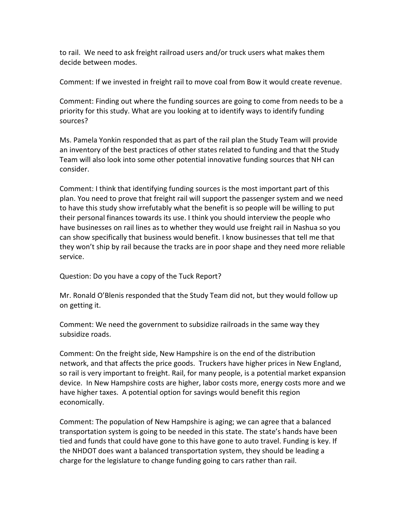to rail. We need to ask freight railroad users and/or truck users what makes them decide between modes.

Comment: If we invested in freight rail to move coal from Bow it would create revenue.

Comment: Finding out where the funding sources are going to come from needs to be a priority for this study. What are you looking at to identify ways to identify funding sources?

Ms. Pamela Yonkin responded that as part of the rail plan the Study Team will provide an inventory of the best practices of other states related to funding and that the Study Team will also look into some other potential innovative funding sources that NH can consider.

Comment: I think that identifying funding sources is the most important part of this plan. You need to prove that freight rail will support the passenger system and we need to have this study show irrefutably what the benefit is so people will be willing to put their personal finances towards its use. I think you should interview the people who have businesses on rail lines as to whether they would use freight rail in Nashua so you can show specifically that business would benefit. I know businesses that tell me that they won't ship by rail because the tracks are in poor shape and they need more reliable service.

Question: Do you have a copy of the Tuck Report?

Mr. Ronald O'Blenis responded that the Study Team did not, but they would follow up on getting it.

Comment: We need the government to subsidize railroads in the same way they subsidize roads.

Comment: On the freight side, New Hampshire is on the end of the distribution network, and that affects the price goods. Truckers have higher prices in New England, so rail is very important to freight. Rail, for many people, is a potential market expansion device. In New Hampshire costs are higher, labor costs more, energy costs more and we have higher taxes. A potential option for savings would benefit this region economically.

Comment: The population of New Hampshire is aging; we can agree that a balanced transportation system is going to be needed in this state. The state's hands have been tied and funds that could have gone to this have gone to auto travel. Funding is key. If the NHDOT does want a balanced transportation system, they should be leading a charge for the legislature to change funding going to cars rather than rail.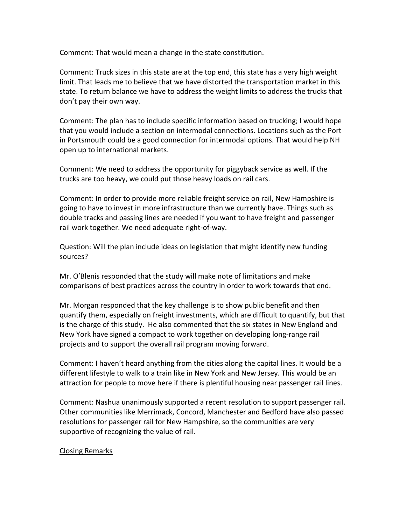Comment: That would mean a change in the state constitution.

Comment: Truck sizes in this state are at the top end, this state has a very high weight limit. That leads me to believe that we have distorted the transportation market in this state. To return balance we have to address the weight limits to address the trucks that don't pay their own way.

Comment: The plan has to include specific information based on trucking; I would hope that you would include a section on intermodal connections. Locations such as the Port in Portsmouth could be a good connection for intermodal options. That would help NH open up to international markets.

Comment: We need to address the opportunity for piggyback service as well. If the trucks are too heavy, we could put those heavy loads on rail cars.

Comment: In order to provide more reliable freight service on rail, New Hampshire is going to have to invest in more infrastructure than we currently have. Things such as double tracks and passing lines are needed if you want to have freight and passenger rail work together. We need adequate right-of-way.

Question: Will the plan include ideas on legislation that might identify new funding sources?

Mr. O'Blenis responded that the study will make note of limitations and make comparisons of best practices across the country in order to work towards that end.

Mr. Morgan responded that the key challenge is to show public benefit and then quantify them, especially on freight investments, which are difficult to quantify, but that is the charge of this study. He also commented that the six states in New England and New York have signed a compact to work together on developing long-range rail projects and to support the overall rail program moving forward.

Comment: I haven't heard anything from the cities along the capital lines. It would be a different lifestyle to walk to a train like in New York and New Jersey. This would be an attraction for people to move here if there is plentiful housing near passenger rail lines.

Comment: Nashua unanimously supported a recent resolution to support passenger rail. Other communities like Merrimack, Concord, Manchester and Bedford have also passed resolutions for passenger rail for New Hampshire, so the communities are very supportive of recognizing the value of rail.

#### Closing Remarks